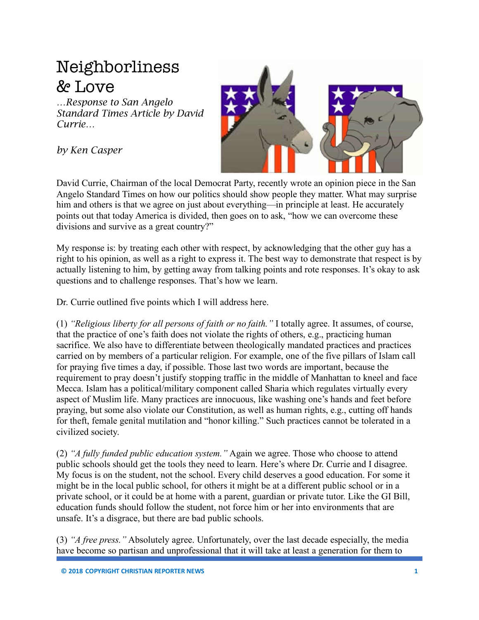## Neighborliness & Love

*…Response to San Angelo Standard Times Article by David Currie…*

*by Ken Casper*



David Currie, Chairman of the local Democrat Party, recently wrote an opinion piece in the San Angelo Standard Times on how our politics should show people they matter. What may surprise him and others is that we agree on just about everything—in principle at least. He accurately points out that today America is divided, then goes on to ask, "how we can overcome these divisions and survive as a great country?"

My response is: by treating each other with respect, by acknowledging that the other guy has a right to his opinion, as well as a right to express it. The best way to demonstrate that respect is by actually listening to him, by getting away from talking points and rote responses. It's okay to ask questions and to challenge responses. That's how we learn.

Dr. Currie outlined five points which I will address here.

(1) *"Religious liberty for all persons of faith or no faith."* I totally agree. It assumes, of course, that the practice of one's faith does not violate the rights of others, e.g., practicing human sacrifice. We also have to differentiate between theologically mandated practices and practices carried on by members of a particular religion. For example, one of the five pillars of Islam call for praying five times a day, if possible. Those last two words are important, because the requirement to pray doesn't justify stopping traffic in the middle of Manhattan to kneel and face Mecca. Islam has a political/military component called Sharia which regulates virtually every aspect of Muslim life. Many practices are innocuous, like washing one's hands and feet before praying, but some also violate our Constitution, as well as human rights, e.g., cutting off hands for theft, female genital mutilation and "honor killing." Such practices cannot be tolerated in a civilized society.

(2) *"A fully funded public education system."* Again we agree. Those who choose to attend public schools should get the tools they need to learn. Here's where Dr. Currie and I disagree. My focus is on the student, not the school. Every child deserves a good education. For some it might be in the local public school, for others it might be at a different public school or in a private school, or it could be at home with a parent, guardian or private tutor. Like the GI Bill, education funds should follow the student, not force him or her into environments that are unsafe. It's a disgrace, but there are bad public schools.

(3) *"A free press."* Absolutely agree. Unfortunately, over the last decade especially, the media have become so partisan and unprofessional that it will take at least a generation for them to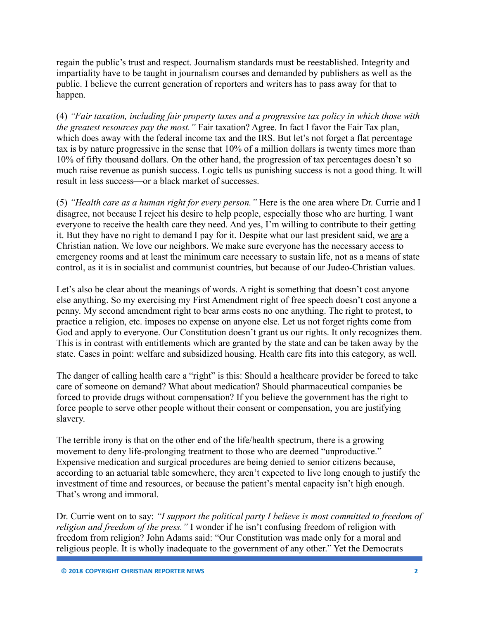regain the public's trust and respect. Journalism standards must be reestablished. Integrity and impartiality have to be taught in journalism courses and demanded by publishers as well as the public. I believe the current generation of reporters and writers has to pass away for that to happen.

(4) *"Fair taxation, including fair property taxes and a progressive tax policy in which those with the greatest resources pay the most."* Fair taxation? Agree. In fact I favor the Fair Tax plan, which does away with the federal income tax and the IRS. But let's not forget a flat percentage tax is by nature progressive in the sense that 10% of a million dollars is twenty times more than 10% of fifty thousand dollars. On the other hand, the progression of tax percentages doesn't so much raise revenue as punish success. Logic tells us punishing success is not a good thing. It will result in less success—or a black market of successes.

(5) *"Health care as a human right for every person."* Here is the one area where Dr. Currie and I disagree, not because I reject his desire to help people, especially those who are hurting. I want everyone to receive the health care they need. And yes, I'm willing to contribute to their getting it. But they have no right to demand I pay for it. Despite what our last president said, we are a Christian nation. We love our neighbors. We make sure everyone has the necessary access to emergency rooms and at least the minimum care necessary to sustain life, not as a means of state control, as it is in socialist and communist countries, but because of our Judeo-Christian values.

Let's also be clear about the meanings of words. A right is something that doesn't cost anyone else anything. So my exercising my First Amendment right of free speech doesn't cost anyone a penny. My second amendment right to bear arms costs no one anything. The right to protest, to practice a religion, etc. imposes no expense on anyone else. Let us not forget rights come from God and apply to everyone. Our Constitution doesn't grant us our rights. It only recognizes them. This is in contrast with entitlements which are granted by the state and can be taken away by the state. Cases in point: welfare and subsidized housing. Health care fits into this category, as well.

The danger of calling health care a "right" is this: Should a healthcare provider be forced to take care of someone on demand? What about medication? Should pharmaceutical companies be forced to provide drugs without compensation? If you believe the government has the right to force people to serve other people without their consent or compensation, you are justifying slavery.

The terrible irony is that on the other end of the life/health spectrum, there is a growing movement to deny life-prolonging treatment to those who are deemed "unproductive." Expensive medication and surgical procedures are being denied to senior citizens because, according to an actuarial table somewhere, they aren't expected to live long enough to justify the investment of time and resources, or because the patient's mental capacity isn't high enough. That's wrong and immoral.

Dr. Currie went on to say: *"I support the political party I believe is most committed to freedom of religion and freedom of the press."* I wonder if he isn't confusing freedom of religion with freedom from religion? John Adams said: "Our Constitution was made only for a moral and religious people. It is wholly inadequate to the government of any other." Yet the Democrats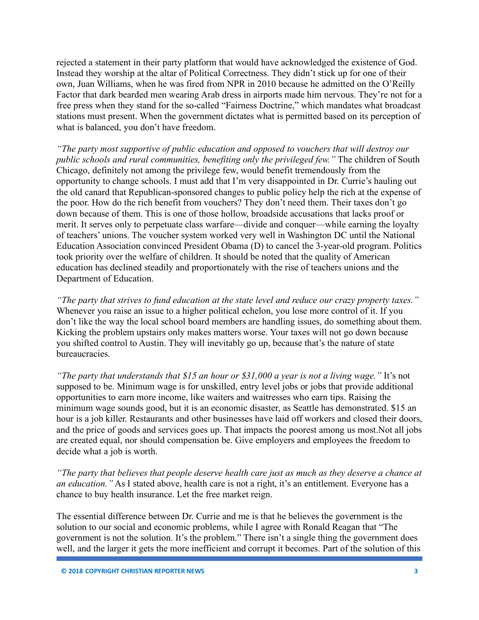rejected a statement in their party platform that would have acknowledged the existence of God. Instead they worship at the altar of Political Correctness. They didn't stick up for one of their own, Juan Williams, when he was fired from NPR in 2010 because he admitted on the O'Reilly Factor that dark bearded men wearing Arab dress in airports made him nervous. They're not for a free press when they stand for the so-called "Fairness Doctrine," which mandates what broadcast stations must present. When the government dictates what is permitted based on its perception of what is balanced, you don't have freedom.

*"The party most supportive of public education and opposed to vouchers that will destroy our public schools and rural communities, benefiting only the privileged few."* The children of South Chicago, definitely not among the privilege few, would benefit tremendously from the opportunity to change schools. I must add that I'm very disappointed in Dr. Currie's hauling out the old canard that Republican-sponsored changes to public policy help the rich at the expense of the poor. How do the rich benefit from vouchers? They don't need them. Their taxes don't go down because of them. This is one of those hollow, broadside accusations that lacks proof or merit. It serves only to perpetuate class warfare—divide and conquer—while earning the loyalty of teachers' unions. The voucher system worked very well in Washington DC until the National Education Association convinced President Obama (D) to cancel the 3-year-old program. Politics took priority over the welfare of children. It should be noted that the quality of American education has declined steadily and proportionately with the rise of teachers unions and the Department of Education.

*"The party that strives to fund education at the state level and reduce our crazy property taxes."* Whenever you raise an issue to a higher political echelon, you lose more control of it. If you don't like the way the local school board members are handling issues, do something about them. Kicking the problem upstairs only makes matters worse. Your taxes will not go down because you shifted control to Austin. They will inevitably go up, because that's the nature of state bureaucracies.

*"The party that understands that \$15 an hour or \$31,000 a year is not a living wage."* It's not supposed to be. Minimum wage is for unskilled, entry level jobs or jobs that provide additional opportunities to earn more income, like waiters and waitresses who earn tips. Raising the minimum wage sounds good, but it is an economic disaster, as Seattle has demonstrated. \$15 an hour is a job killer. Restaurants and other businesses have laid off workers and closed their doors, and the price of goods and services goes up. That impacts the poorest among us most.Not all jobs are created equal, nor should compensation be. Give employers and employees the freedom to decide what a job is worth.

*"The party that believes that people deserve health care just as much as they deserve a chance at an education."* As I stated above, health care is not a right, it's an entitlement. Everyone has a chance to buy health insurance. Let the free market reign.

The essential difference between Dr. Currie and me is that he believes the government is the solution to our social and economic problems, while I agree with Ronald Reagan that "The government is not the solution. It's the problem." There isn't a single thing the government does well, and the larger it gets the more inefficient and corrupt it becomes. Part of the solution of this